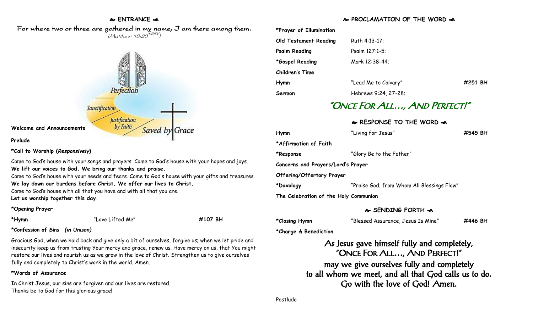### **ENTRANCE**  For where two or three are gathered in my name, I am there among them.  $(M$ atthew 18:20 $^{NRSV})$



#### **Prelude**

**\*Call to Worship (***Responsively***)** 

Come to God's house with your songs and prayers. Come to God's house with your hopes and joys. **We lift our voices to God. We bring our thanks and praise.**

Come to God's house with your needs and fears. Come to God's house with your gifts and treasures. **We lay down our burdens before Christ. We offer our lives to Christ.**

Come to God's house with all that you have and with all that you are.

**Let us worship together this day.** 

#### **\*Opening Prayer**

**\*Hymn** "Love Lifted Me" **#107 BH**

#### **\*Confession of Sins** *(in Unison)*

Gracious God, when we hold back and give only a bit of ourselves, forgive us; when we let pride and insecurity keep us from trusting Your mercy and grace, renew us. Have mercy on us, that You might restore our lives and nourish us as we grow in the love of Christ. Strengthen us to give ourselves fully and completely to Christ's work in the world. Amen.

#### **\*Words of Assurance**

In Christ Jesus, our sins are forgiven and our lives are restored. Thanks be to God for this glorious grace!

## **PROCLAMATION OF THE WORD**

| *Prayer of Illumination |                      |         |
|-------------------------|----------------------|---------|
| Old Testament Reading   | Ruth 4:13-17;        |         |
| <b>Psalm Reading</b>    | Psalm 127:1-5;       |         |
| *Gospel Reading         | Mark 12:38-44;       |         |
| <b>Children's Time</b>  |                      |         |
| Hymn                    | "Lead Me to Calvary" | #251 BH |
| Sermon                  | Hebrews 9:24, 27-28; |         |

# "ONCE FOR ALL…, AND PERFECT!"

#### **RESPONSE TO THE WORD**

| Hymn                                  | "Living for Jesus"                         | #545 BH |  |  |
|---------------------------------------|--------------------------------------------|---------|--|--|
| *Affirmation of Faith                 |                                            |         |  |  |
| *Response                             | "Glory Be to the Father"                   |         |  |  |
| Concerns and Prayers/Lord's Prayer    |                                            |         |  |  |
| Offering/Offertory Prayer             |                                            |         |  |  |
| *Doxology                             | "Praise God, from Whom All Blessings Flow" |         |  |  |
| The Celebration of the Holy Communion |                                            |         |  |  |

#### **SENDING FORTH**

| *Closing Hymn | "Blessed Assurance, Jesus Is Mine" | #446 BH |
|---------------|------------------------------------|---------|
|---------------|------------------------------------|---------|

**\*Charge & Benediction**

As Jesus gave himself fully and completely, "ONCE FOR ALL…, AND PERFECT!" may we give ourselves fully and completely to all whom we meet, and all that God calls us to do. Go with the love of God! Amen.

Postlude